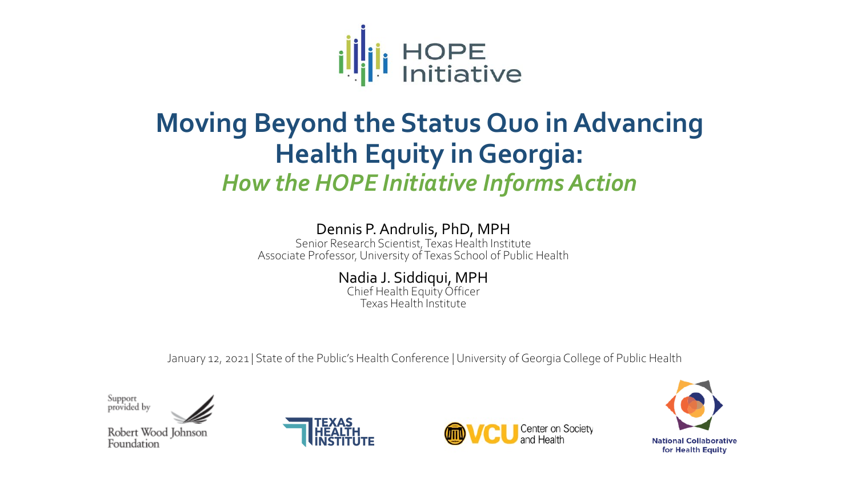

## **Moving Beyond the Status Quo in Advancing Health Equity in Georgia:**  *How the HOPE Initiative Informs Action*

#### Dennis P. Andrulis, PhD, MPH

Senior Research Scientist, Texas Health Institute Associate Professor, University of Texas School of Public Health

> Nadia J. Siddiqui, MPH Chief Health Equity Officer

Texas Health Institute

January 12, 2021 | State of the Public's Health Conference | University of Georgia College of Public Health

Support<br>provided by

Robert Wood Johnson Foundation





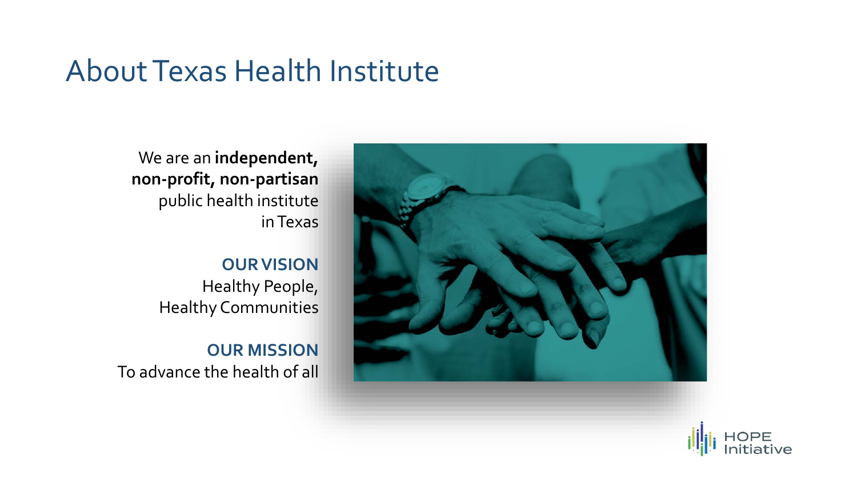## About Texas Health Institute

We are an **independent, non-profit, non-partisan** public health institute in Texas

### **OUR VISION**

Healthy People, Healthy Communities

**OUR MISSION** To advance the health of all



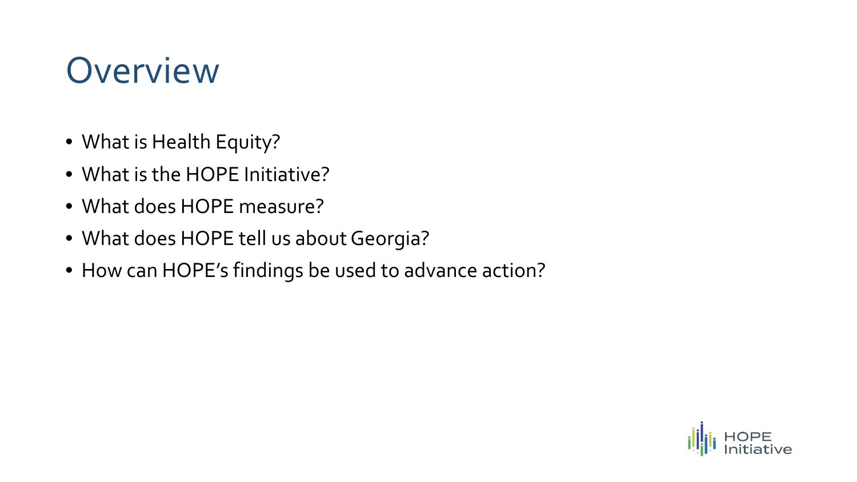# **Overview**

- What is Health Equity?
- What is the HOPE Initiative?
- What does HOPE measure?
- What does HOPE tell us about Georgia?
- How can HOPE's findings be used to advance action?

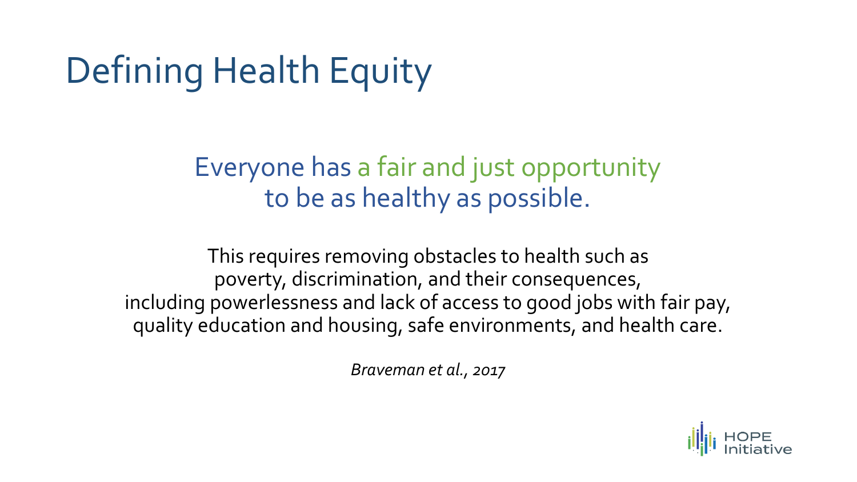# Defining Health Equity

## Everyone has a fair and just opportunity to be as healthy as possible.

This requires removing obstacles to health such as poverty, discrimination, and their consequences, including powerlessness and lack of access to good jobs with fair pay, quality education and housing, safe environments, and health care.

*Braveman et al., 2017*

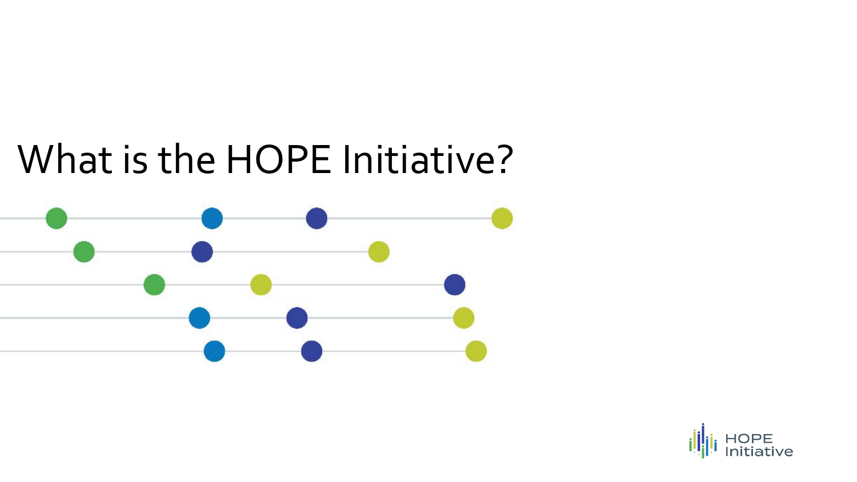# What is the HOPE Initiative?



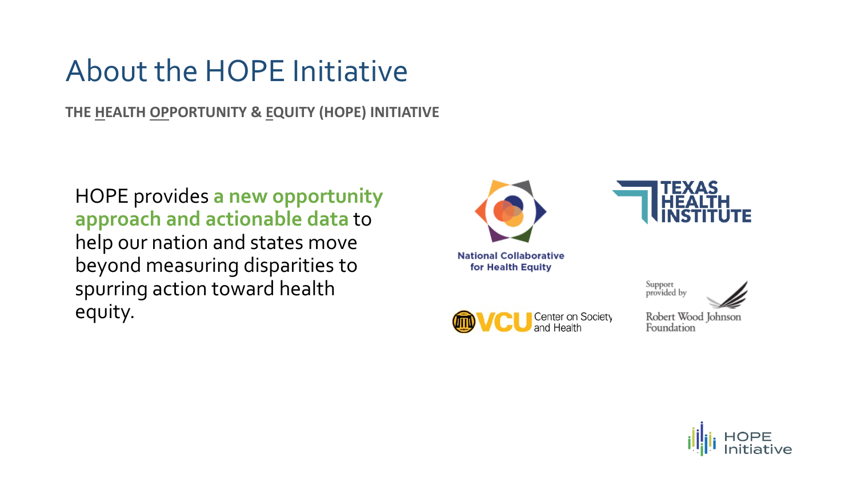## About the HOPE Initiative

**THE HEALTH OPPORTUNITY & EQUITY (HOPE) INITIATIVE**

HOPE provides **a new opportunity approach and actionable data** to help our nation and states move beyond measuring disparities to spurring action toward health equity.







Support<br>provided by

Robert Wood Johnson Foundation

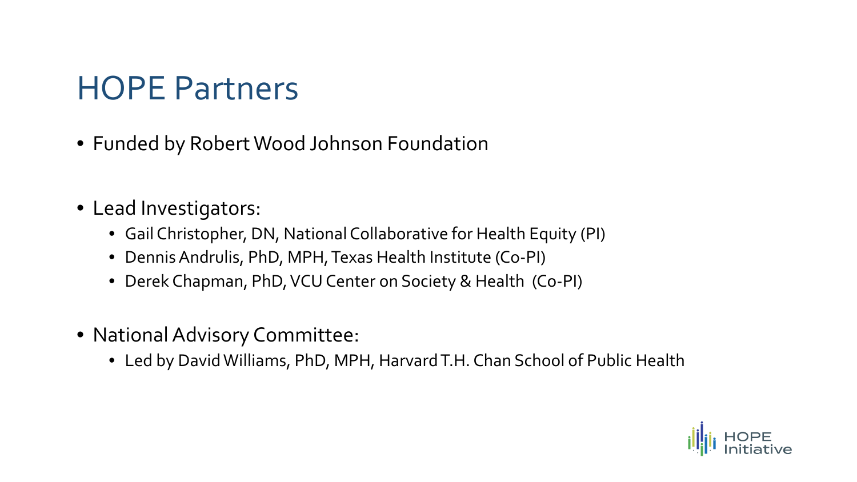## HOPE Partners

- Funded by Robert Wood Johnson Foundation
- Lead Investigators:
	- Gail Christopher, DN, National Collaborative for Health Equity (PI)
	- Dennis Andrulis, PhD, MPH, Texas Health Institute (Co-PI)
	- Derek Chapman, PhD, VCU Center on Society & Health (Co-PI)
- National Advisory Committee:
	- Led by David Williams, PhD, MPH, Harvard T.H. Chan School of Public Health

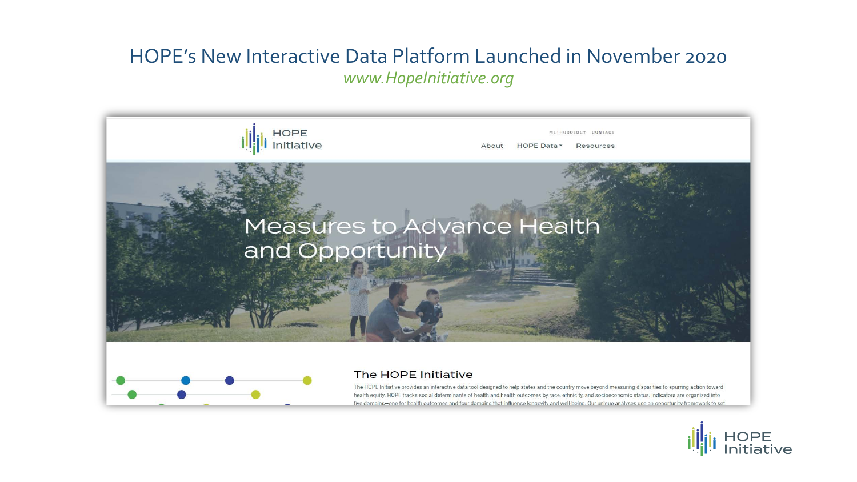#### HOPE's New Interactive Data Platform Launched in November 2020 *www.HopeInitiative.org*





#### The HOPE Initiative

The HOPE Initiative provides an interactive data tool designed to help states and the country move beyond measuring disparities to spurring action toward health equity. HOPE tracks social determinants of health and health outcomes by race, ethnicity, and socioeconomic status. Indicators are organized into five domains-one for health outcomes and four domains that influence longevity and well-being. Our unique analyses use an opportunity framework to set

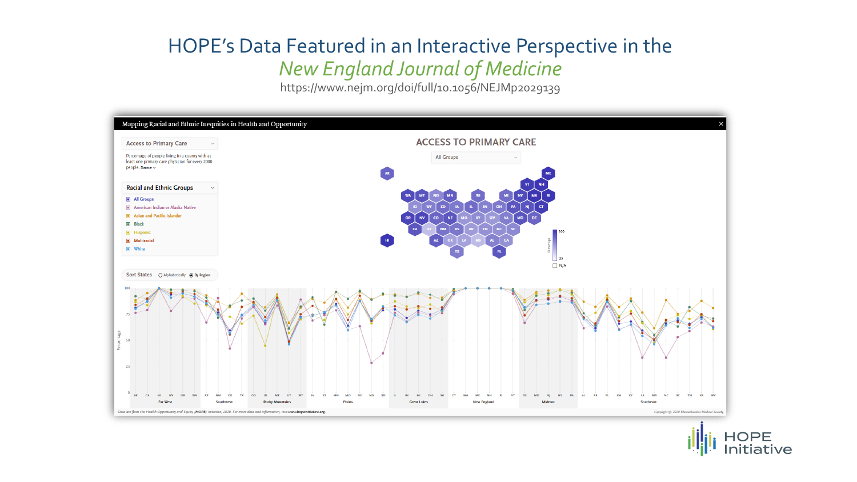## HOPE's Data Featured in an Interactive Perspective in the

*New England Journal of Medicine*

https://www.nejm.org/doi/full/10.1056/NEJMp2029139



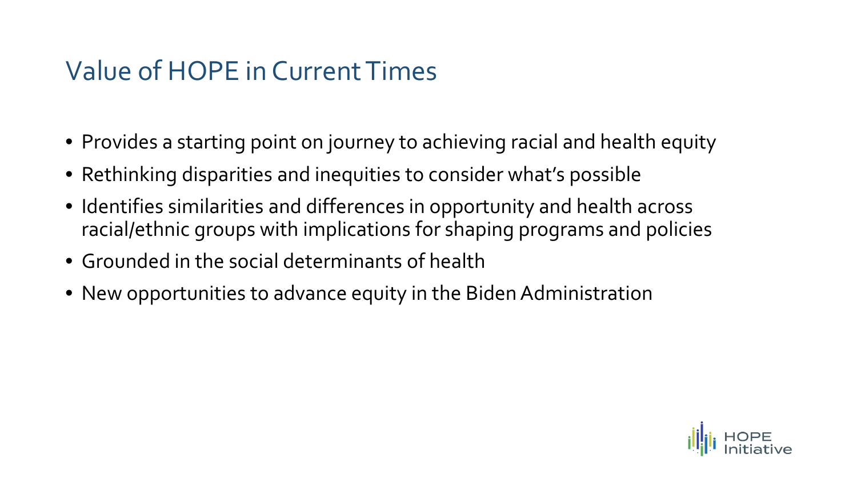## Value of HOPE in Current Times

- Provides a starting point on journey to achieving racial and health equity
- Rethinking disparities and inequities to consider what's possible
- Identifies similarities and differences in opportunity and health across racial/ethnic groups with implications for shaping programs and policies
- Grounded in the social determinants of health
- New opportunities to advance equity in the Biden Administration

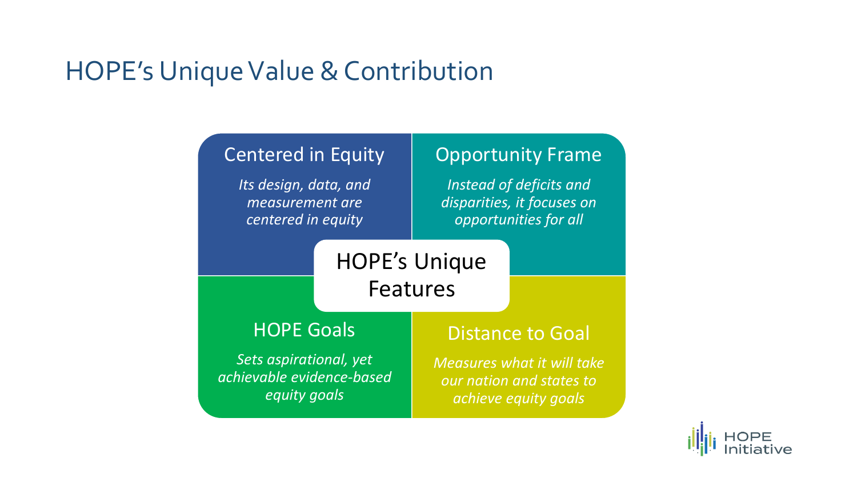### HOPE's Unique Value & Contribution

#### Centered in Equity *Its design, data, and measurement are centered in equity* Opportunity Frame *Instead of deficits and disparities, it focuses on opportunities for all* HOPE Goals *Sets aspirational, yet achievable evidence-based equity goals* Distance to Goal *Measures what it will take our nation and states to achieve equity goals* HOPE's Unique Features

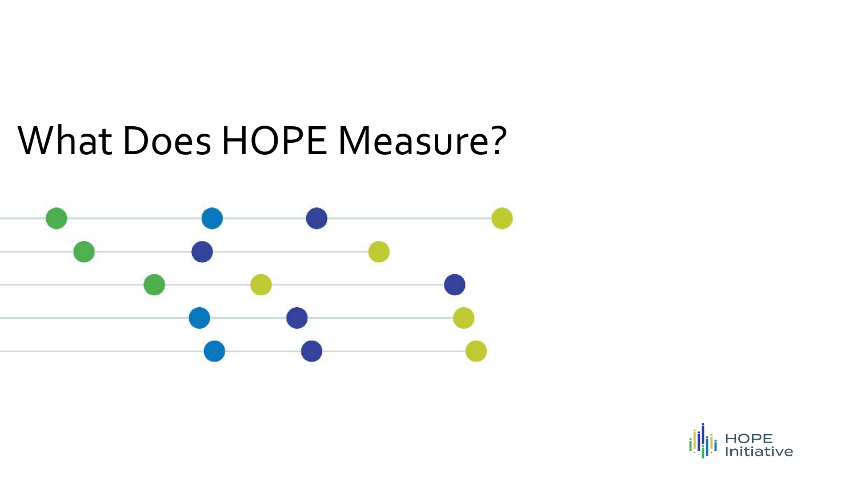# What Does HOPE Measure?



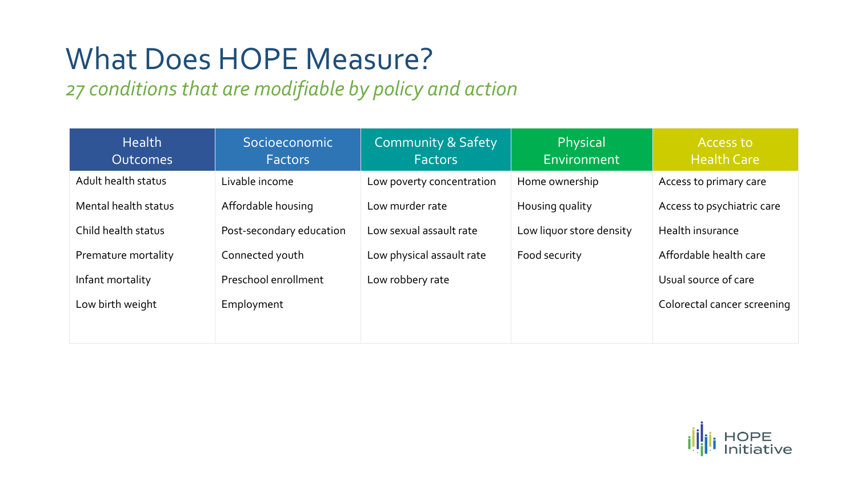## What Does HOPE Measure?

### *27 conditions that are modifiable by policy and action*

| <b>Health</b><br><b>Outcomes</b> | Socioeconomic<br><b>Factors</b> | <b>Community &amp; Safety</b><br><b>Factors</b> | <b>Physical</b><br>Environment | Access to<br><b>Health Care</b> |
|----------------------------------|---------------------------------|-------------------------------------------------|--------------------------------|---------------------------------|
| Adult health status              | Livable income                  | Low poverty concentration                       | Home ownership                 | Access to primary care          |
| Mental health status             | Affordable housing              | Low murder rate                                 | Housing quality                | Access to psychiatric care      |
| Child health status              | Post-secondary education        | Low sexual assault rate                         | Low liquor store density       | Health insurance                |
| Premature mortality              | Connected youth                 | Low physical assault rate                       | Food security                  | Affordable health care          |
| Infant mortality                 | Preschool enrollment            | Low robbery rate                                |                                | Usual source of care            |
| Low birth weight                 | Employment                      |                                                 |                                | Colorectal cancer screening     |
|                                  |                                 |                                                 |                                |                                 |

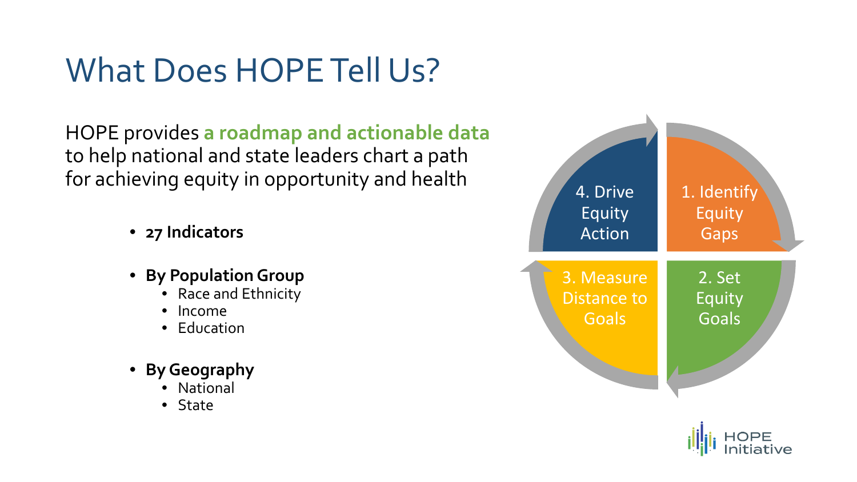## What Does HOPE Tell Us?

HOPE provides **a roadmap and actionable data** to help national and state leaders chart a path for achieving equity in opportunity and health

- **27 Indicators**
- **By Population Group**
	- Race and Ethnicity
	- Income
	- Education
- **By Geography**
	- **National**
	- State



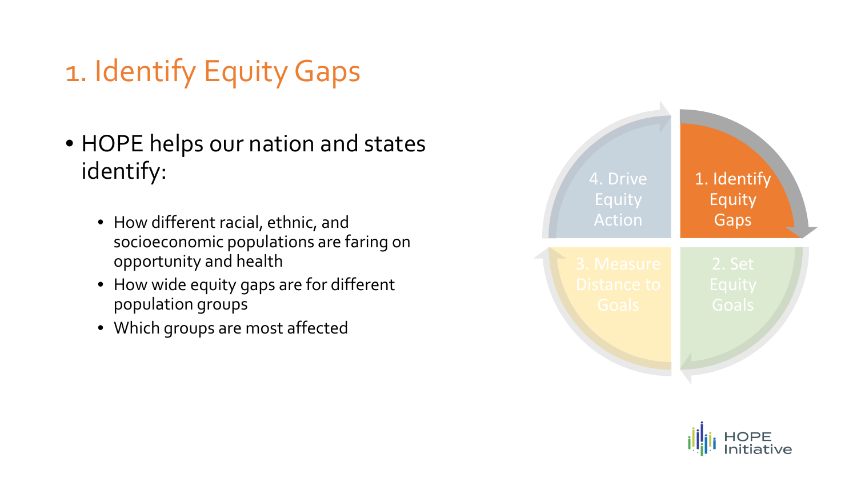# 1. Identify Equity Gaps

- HOPE helps our nation and states identify:
	- How different racial, ethnic, and socioeconomic populations are faring on opportunity and health
	- How wide equity gaps are for different population groups
	- Which groups are most affected



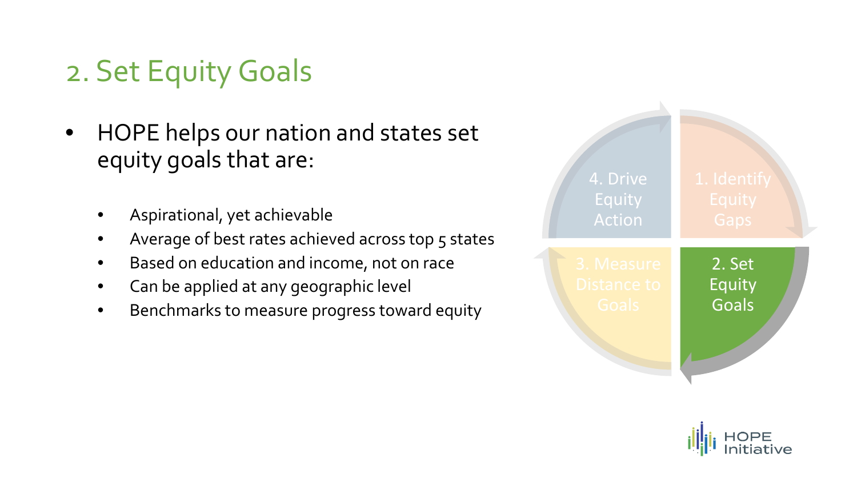## 2. Set Equity Goals

- HOPE helps our nation and states set equity goals that are:
	- Aspirational, yet achievable
	- Average of best rates achieved across top 5 states
	- Based on education and income, not on race
	- Can be applied at any geographic level
	- Benchmarks to measure progress toward equity



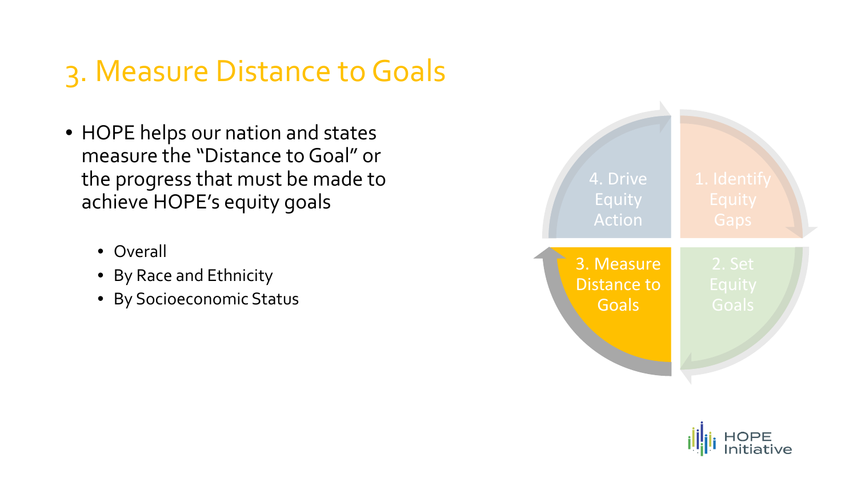## 3. Measure Distance to Goals

- HOPE helps our nation and states measure the "Distance to Goal" or the progress that must be made to achieve HOPE's equity goals
	- Overall
	- By Race and Ethnicity
	- By Socioeconomic Status



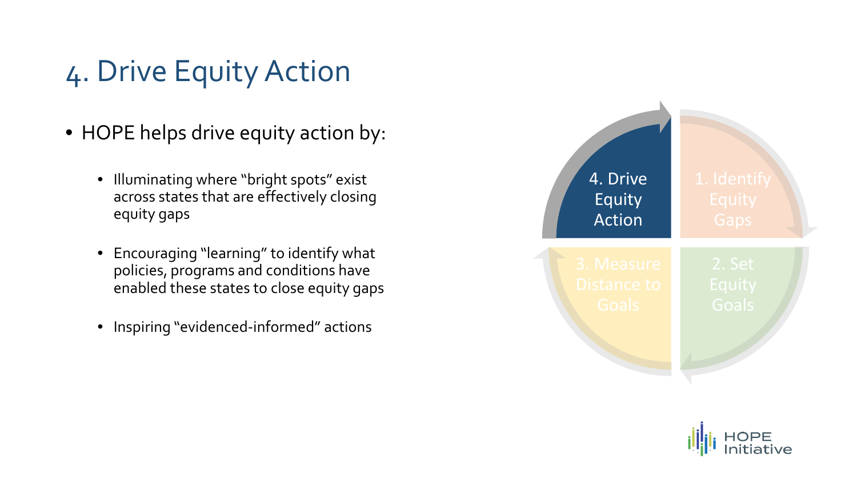## 4. Drive Equity Action

- HOPE helps drive equity action by:
	- Illuminating where "bright spots" exist across states that are effectively closing equity gaps
	- Encouraging "learning" to identify what policies, programs and conditions have enabled these states to close equity gaps
	- Inspiring "evidenced-informed" actions



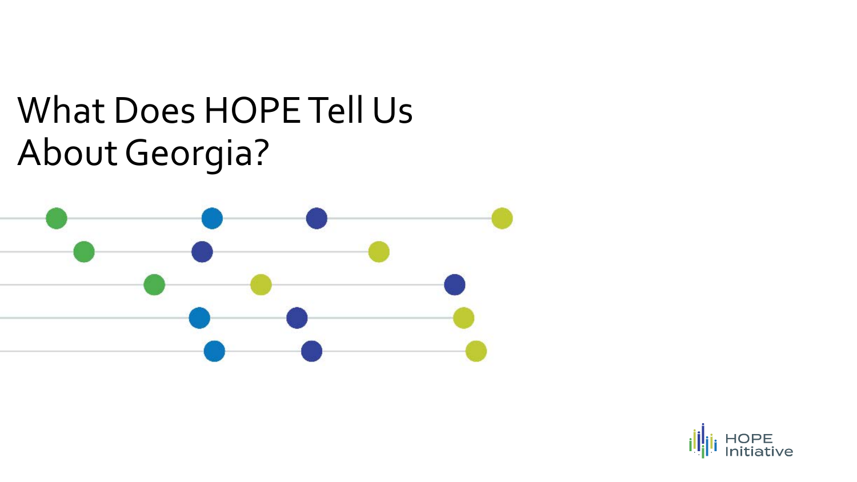# What Does HOPE Tell Us About Georgia?



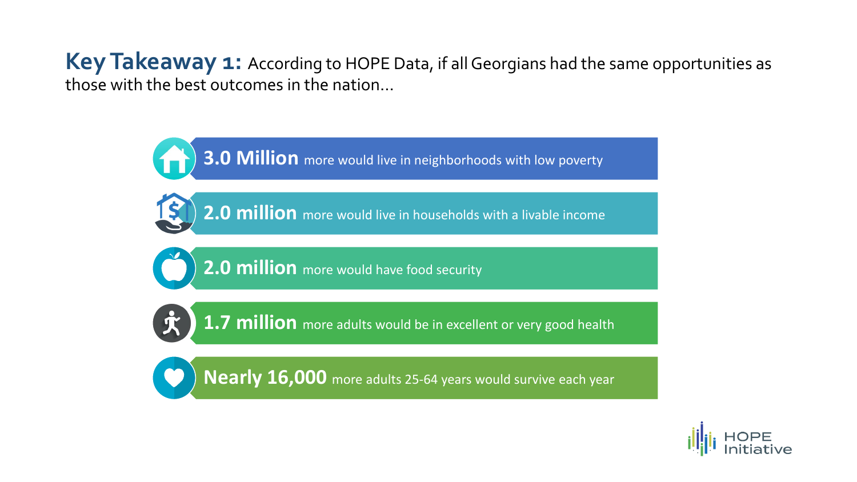Key Takeaway 1: According to HOPE Data, if all Georgians had the same opportunities as those with the best outcomes in the nation…

**3.0 Million** more would live in neighborhoods with low poverty

**2.0 million** more would live in households with a livable income

**2.0 million** more would have food security

**1.7 million** more adults would be in excellent or very good health

**Nearly 16,000** more adults 25-64 years would survive each year

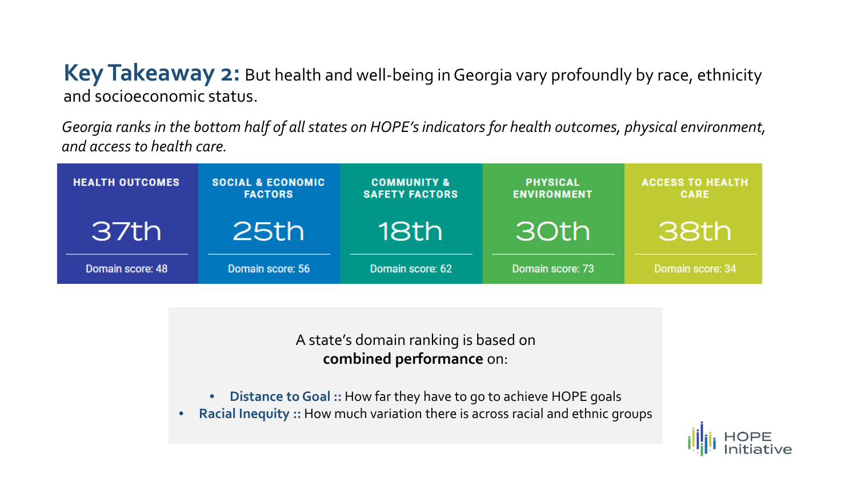**Key Takeaway 2:** But health and well-being in Georgia vary profoundly by race, ethnicity and socioeconomic status.

*Georgia ranks in the bottom half of all states on HOPE's indicators for health outcomes, physical environment, and access to health care.*

| <b>HEALTH OUTCOMES</b> | <b>SOCIAL &amp; ECONOMIC</b><br><b>FACTORS</b> | <b>COMMUNITY &amp;</b><br><b>SAFETY FACTORS</b> | <b>PHYSICAL</b><br><b>ENVIRONMENT</b> | <b>ACCESS TO HEALTH</b><br><b>CARE</b> |
|------------------------|------------------------------------------------|-------------------------------------------------|---------------------------------------|----------------------------------------|
| 37th                   | 25th                                           | 18th                                            | 30th                                  | 38th                                   |
| Domain score: 48       | Domain score: 56                               | Domain score: 62                                | Domain score: 73                      | Domain score: 34                       |

A state's domain ranking is based on **combined performance** on:

- **Distance to Goal ::** How far they have to go to achieve HOPE goals
- **Racial Inequity ::** How much variation there is across racial and ethnic groups

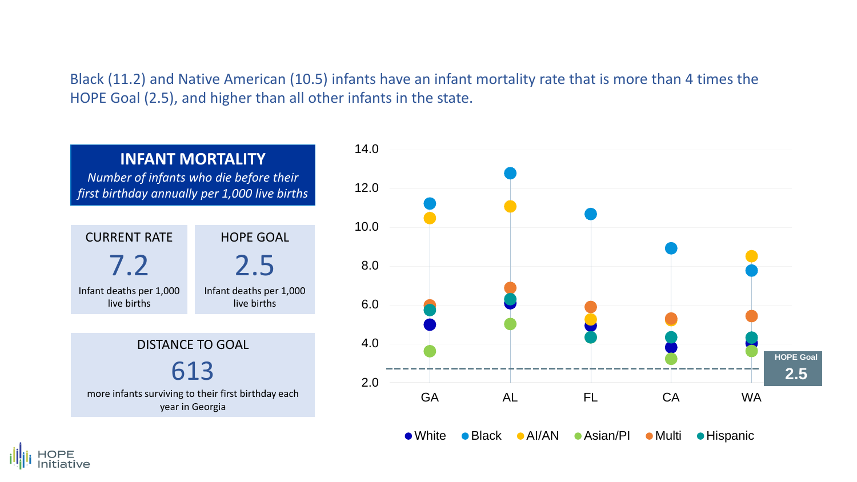Black (11.2) and Native American (10.5) infants have an infant mortality rate that is more than 4 times the HOPE Goal (2.5), and higher than all other infants in the state.





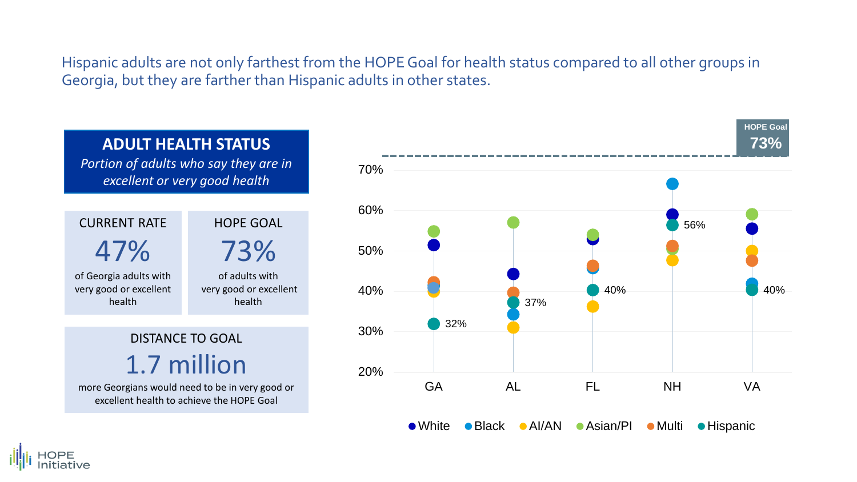Hispanic adults are not only farthest from the HOPE Goal for health status compared to all other groups in Georgia, but they are farther than Hispanic adults in other states.





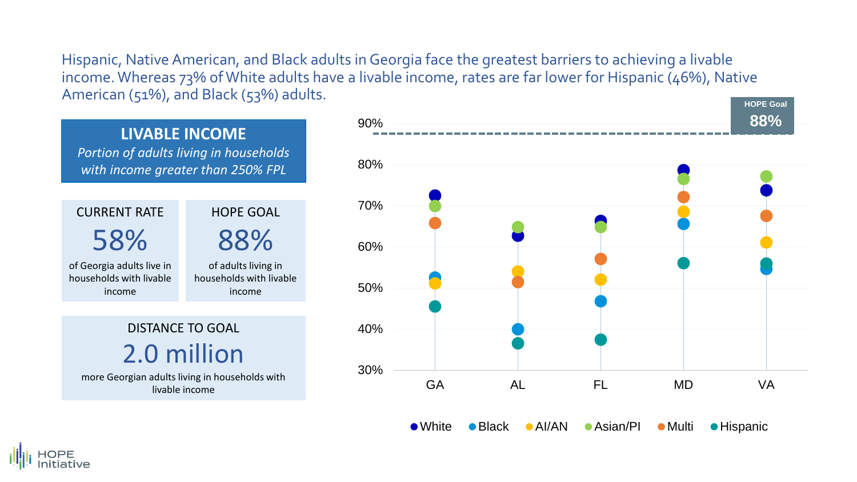**HOPE Goal**  Hispanic, Native American, and Black adults in Georgia face the greatest barriers to achieving a livable income. Whereas 73% of White adults have a livable income, rates are far lower for Hispanic (46%), Native American (51%), and Black (53%) adults.



• White • Black • AI/AN • Asian/PI • Multi • Hispanic

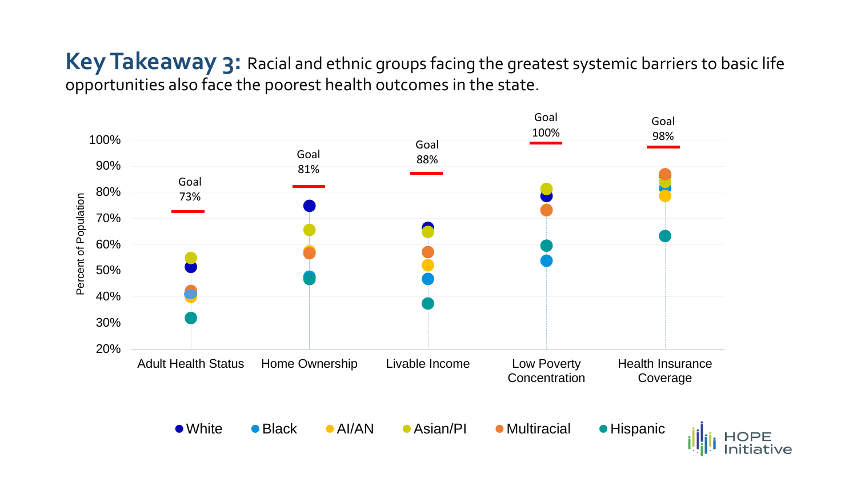#### Key Takeaway 3: Racial and ethnic groups facing the greatest systemic barriers to basic life opportunities also face the poorest health outcomes in the state.

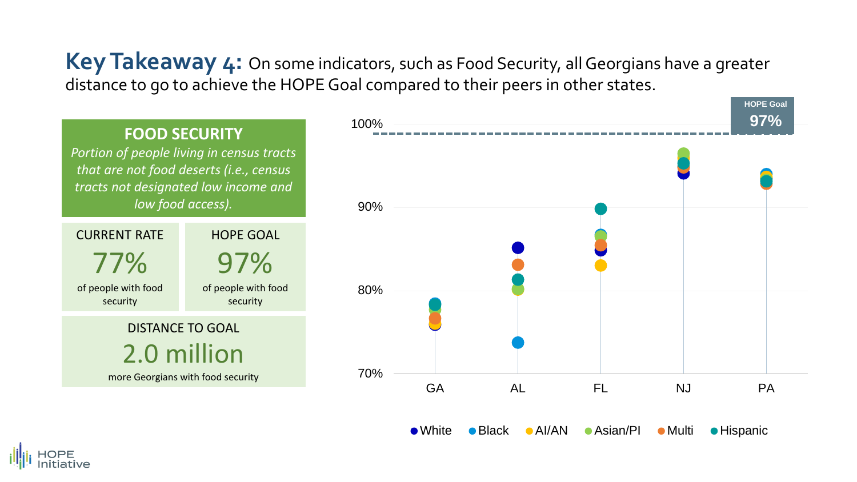**Key Takeaway 4:** On some indicators, such as Food Security, all Georgians have a greater distance to go to achieve the HOPE Goal compared to their peers in other states.

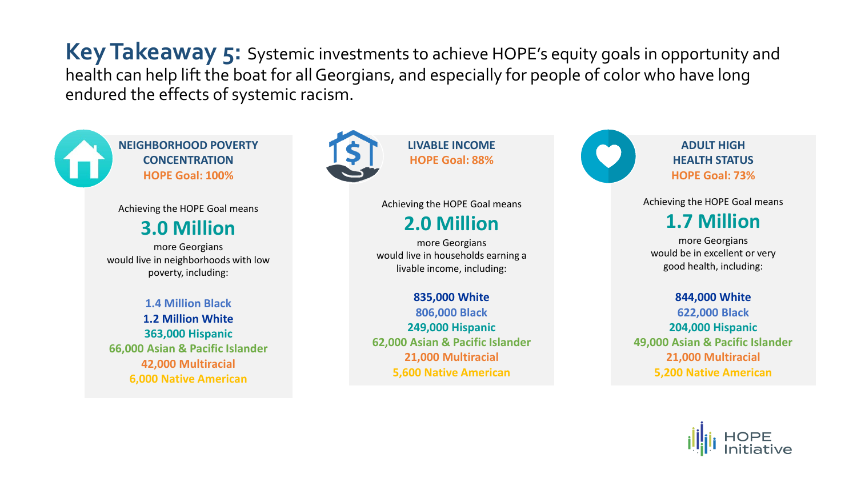**Key Takeaway 5:** Systemic investments to achieve HOPE's equity goals in opportunity and health can help lift the boat for all Georgians, and especially for people of color who have long endured the effects of systemic racism.



**NEIGHBORHOOD POVERTY CONCENTRATION HOPE Goal: 100%**

Achieving the HOPE Goal means

#### **3.0 Million**

more Georgians would live in neighborhoods with low poverty, including:

**1.4 Million Black 1.2 Million White 363,000 Hispanic 66,000 Asian & Pacific Islander 42,000 Multiracial 6,000 Native American**



**LIVABLE INCOME HOPE Goal: 88%**

Achieving the HOPE Goal means

#### **2.0 Million**

more Georgians would live in households earning a livable income, including:

#### **835,000 White**

**806,000 Black 249,000 Hispanic 62,000 Asian & Pacific Islander 21,000 Multiracial 5,600 Native American**



**ADULT HIGH HEALTH STATUS HOPE Goal: 73%**

#### Achieving the HOPE Goal means **1.7 Million**

more Georgians would be in excellent or very good health, including:

**844,000 White 622,000 Black 204,000 Hispanic 49,000 Asian & Pacific Islander 21,000 Multiracial 5,200 Native American**

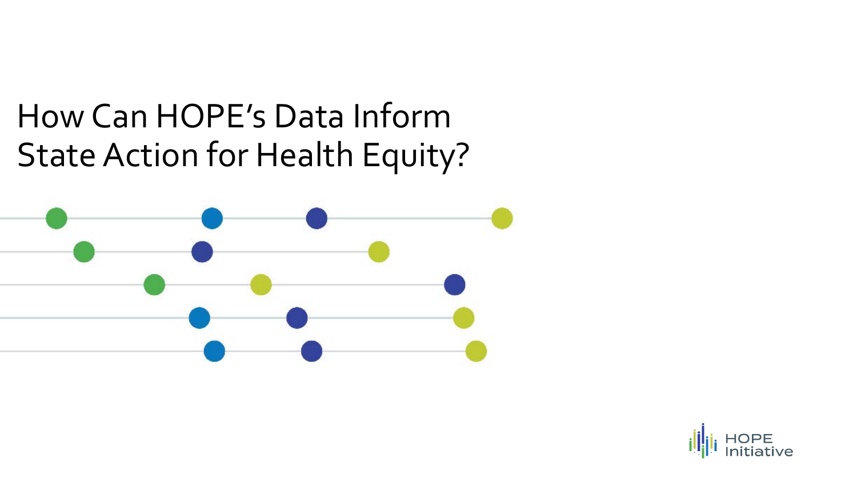# How Can HOPE's Data Inform State Action for Health Equity?



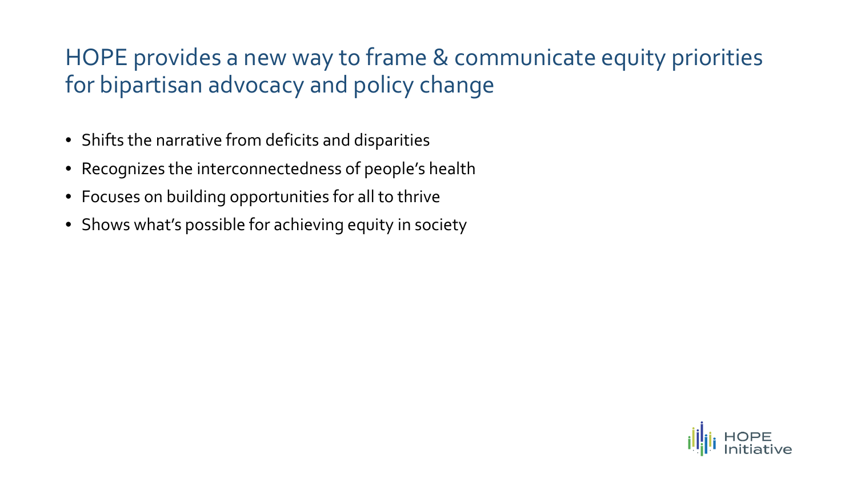### HOPE provides a new way to frame & communicate equity priorities for bipartisan advocacy and policy change

- Shifts the narrative from deficits and disparities
- Recognizes the interconnectedness of people's health
- Focuses on building opportunities for all to thrive
- Shows what's possible for achieving equity in society

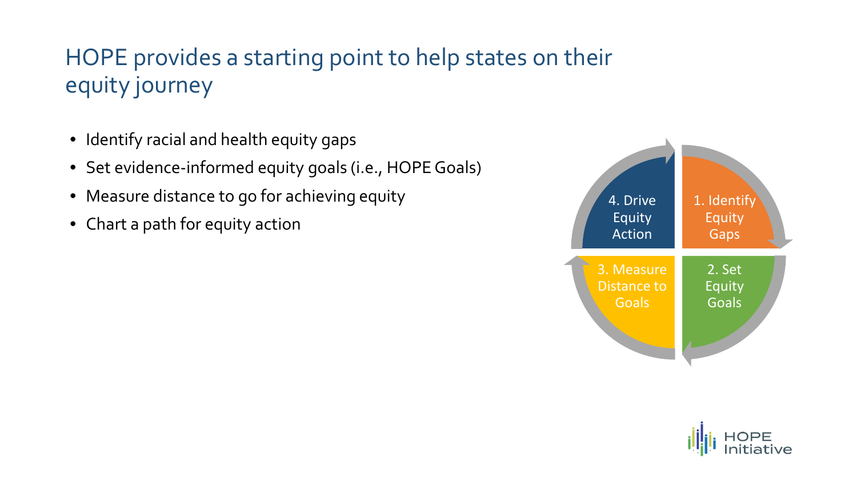### HOPE provides a starting point to help states on their equity journey

- Identify racial and health equity gaps
- Set evidence-informed equity goals (i.e., HOPE Goals)
- Measure distance to go for achieving equity
- Chart a path for equity action



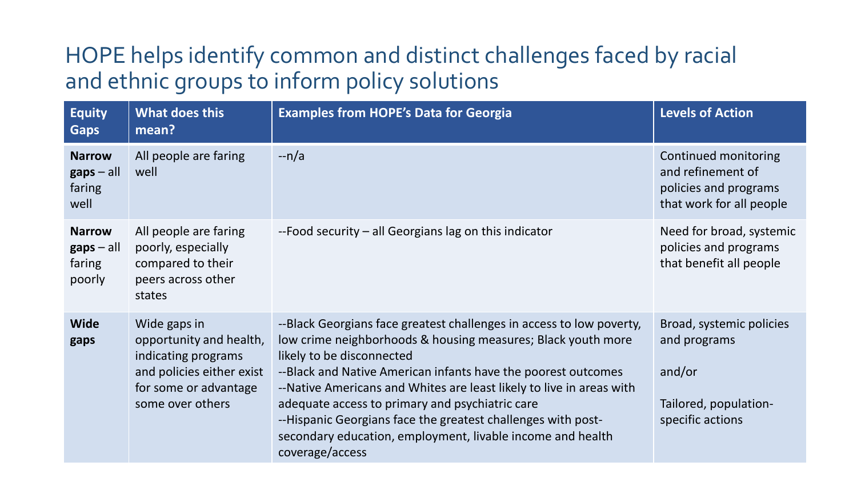### HOPE helps identify common and distinct challenges faced by racial and ethnic groups to inform policy solutions

| <b>Equity</b><br><b>Gaps</b>                                      | What does this<br>mean?                                                                                                                  | <b>Examples from HOPE's Data for Georgia</b>                                                                                                                                                                                                                                                                                                                                                                                                                                                                   | <b>Levels of Action</b>                                                                         |
|-------------------------------------------------------------------|------------------------------------------------------------------------------------------------------------------------------------------|----------------------------------------------------------------------------------------------------------------------------------------------------------------------------------------------------------------------------------------------------------------------------------------------------------------------------------------------------------------------------------------------------------------------------------------------------------------------------------------------------------------|-------------------------------------------------------------------------------------------------|
| <b>Narrow</b><br>$\mathbf{gaps} - \mathbf{all}$<br>faring<br>well | All people are faring<br>well                                                                                                            | $-n/a$                                                                                                                                                                                                                                                                                                                                                                                                                                                                                                         | Continued monitoring<br>and refinement of<br>policies and programs<br>that work for all people  |
| <b>Narrow</b><br>$\mathbf{gaps}-\mathrm{all}$<br>faring<br>poorly | All people are faring<br>poorly, especially<br>compared to their<br>peers across other<br>states                                         | --Food security – all Georgians lag on this indicator                                                                                                                                                                                                                                                                                                                                                                                                                                                          | Need for broad, systemic<br>policies and programs<br>that benefit all people                    |
| <b>Wide</b><br>gaps                                               | Wide gaps in<br>opportunity and health,<br>indicating programs<br>and policies either exist<br>for some or advantage<br>some over others | --Black Georgians face greatest challenges in access to low poverty,<br>low crime neighborhoods & housing measures; Black youth more<br>likely to be disconnected<br>--Black and Native American infants have the poorest outcomes<br>--Native Americans and Whites are least likely to live in areas with<br>adequate access to primary and psychiatric care<br>--Hispanic Georgians face the greatest challenges with post-<br>secondary education, employment, livable income and health<br>coverage/access | Broad, systemic policies<br>and programs<br>and/or<br>Tailored, population-<br>specific actions |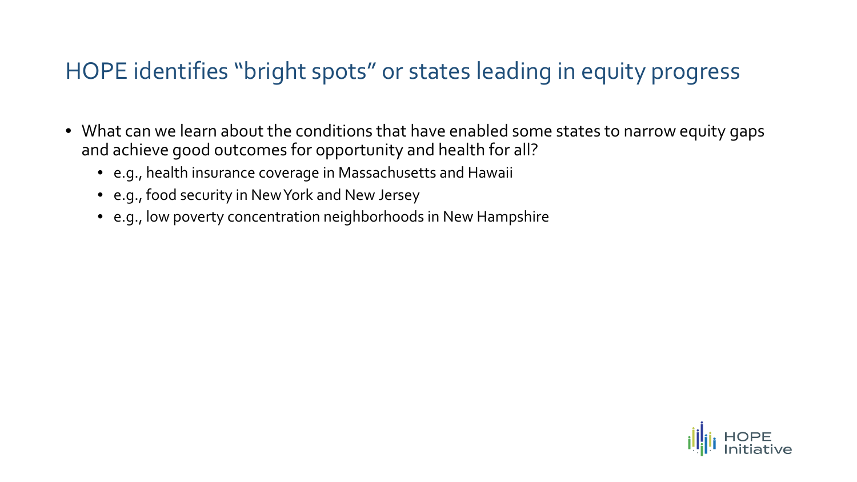### HOPE identifies "bright spots" or states leading in equity progress

- What can we learn about the conditions that have enabled some states to narrow equity gaps and achieve good outcomes for opportunity and health for all?
	- e.g., health insurance coverage in Massachusetts and Hawaii
	- e.g., food security in New York and New Jersey
	- e.g., low poverty concentration neighborhoods in New Hampshire

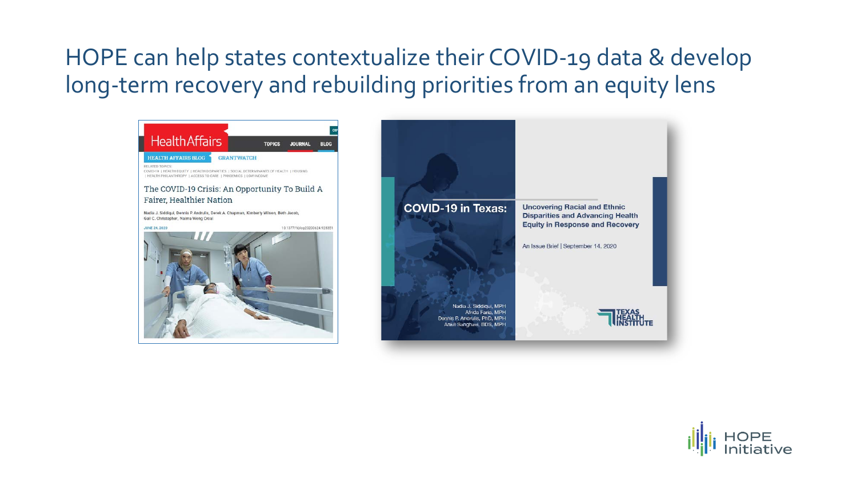### HOPE can help states contextualize their COVID-19 data & develop long-term recovery and rebuilding priorities from an equity lens



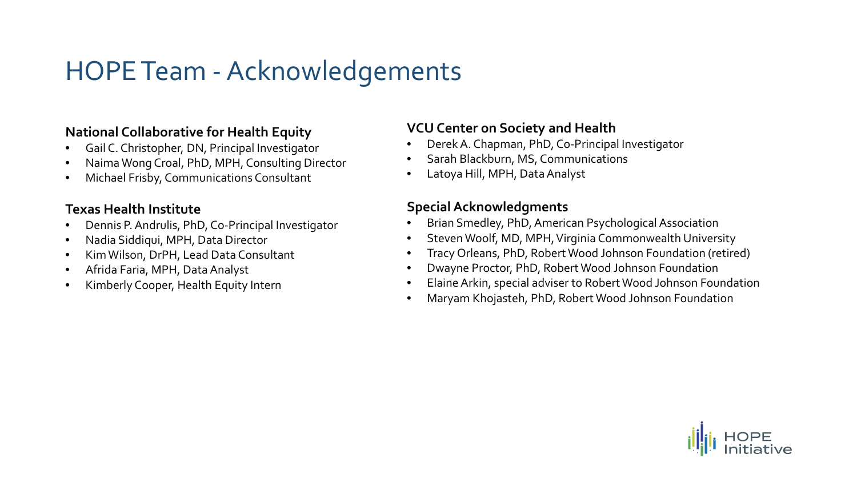## HOPE Team -Acknowledgements

#### **National Collaborative for Health Equity**

- Gail C. Christopher, DN, Principal Investigator
- Naima Wong Croal, PhD, MPH, Consulting Director
- Michael Frisby, Communications Consultant

#### **Texas Health Institute**

- Dennis P. Andrulis, PhD, Co-Principal Investigator
- Nadia Siddiqui, MPH, Data Director
- Kim Wilson, DrPH, Lead Data Consultant
- Afrida Faria, MPH, Data Analyst
- Kimberly Cooper, Health Equity Intern

#### **VCU Center on Society and Health**

- Derek A. Chapman, PhD, Co-Principal Investigator
- Sarah Blackburn, MS, Communications
- Latoya Hill, MPH, Data Analyst

#### **Special Acknowledgments**

- Brian Smedley, PhD, American Psychological Association
- Steven Woolf, MD, MPH, Virginia Commonwealth University
- Tracy Orleans, PhD, Robert Wood Johnson Foundation (retired)
- Dwayne Proctor, PhD, Robert Wood Johnson Foundation
- Elaine Arkin, special adviser to Robert Wood Johnson Foundation
- Maryam Khojasteh, PhD, Robert Wood Johnson Foundation